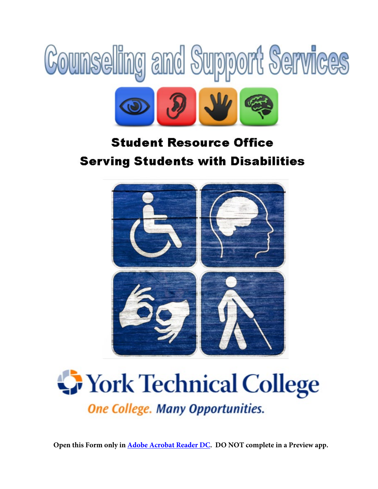



# **Student Resource Office Serving Students with Disabilities**



# **Work Technical College One College. Many Opportunities.**

**Open this Form only in [Adobe Acrobat Reader DC.](https://get.adobe.com/reader/) DO NOT complete in a Preview app.**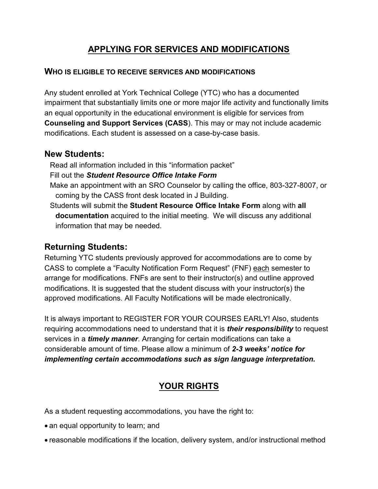### **APPLYING FOR SERVICES AND MODIFICATIONS**

#### **WHO IS ELIGIBLE TO RECEIVE SERVICES AND MODIFICATIONS**

Any student enrolled at York Technical College (YTC) who has a documented impairment that substantially limits one or more major life activity and functionally limits an equal opportunity in the educational environment is eligible for services from **Counseling and Support Services (CASS**). This may or may not include academic modifications. Each student is assessed on a case-by-case basis.

#### **New Students:**

Read all information included in this "information packet"

- Fill out the *Student Resource Office Intake Form*
- Make an appointment with an SRO Counselor by calling the office, 803-327-8007, or coming by the CASS front desk located in J Building.
- Students will submit the **Student Resource Office Intake Form** along with **all documentation** acquired to the initial meeting. We will discuss any additional information that may be needed.

#### **Returning Students:**

Returning YTC students previously approved for accommodations are to come by CASS to complete a "Faculty Notification Form Request" (FNF) each semester to arrange for modifications. FNFs are sent to their instructor(s) and outline approved modifications. It is suggested that the student discuss with your instructor(s) the approved modifications. All Faculty Notifications will be made electronically.

It is always important to REGISTER FOR YOUR COURSES EARLY! Also, students requiring accommodations need to understand that it is *their responsibility* to request services in a *timely manner*. Arranging for certain modifications can take a considerable amount of time. Please allow a minimum of *2-3 weeks' notice for implementing certain accommodations such as sign language interpretation.*

# **YOUR RIGHTS**

As a student requesting accommodations, you have the right to:

- an equal opportunity to learn; and
- reasonable modifications if the location, delivery system, and/or instructional method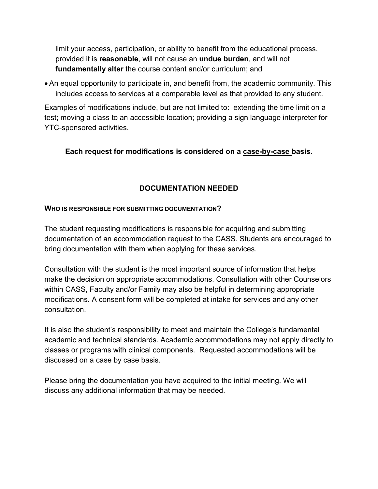limit your access, participation, or ability to benefit from the educational process, provided it is **reasonable**, will not cause an **undue burden**, and will not **fundamentally alter** the course content and/or curriculum; and

• An equal opportunity to participate in, and benefit from, the academic community. This includes access to services at a comparable level as that provided to any student.

Examples of modifications include, but are not limited to: extending the time limit on a test; moving a class to an accessible location; providing a sign language interpreter for YTC-sponsored activities.

#### **Each request for modifications is considered on a case-by-case basis.**

#### **DOCUMENTATION NEEDED**

#### **WHO IS RESPONSIBLE FOR SUBMITTING DOCUMENTATION?**

The student requesting modifications is responsible for acquiring and submitting documentation of an accommodation request to the CASS. Students are encouraged to bring documentation with them when applying for these services.

Consultation with the student is the most important source of information that helps make the decision on appropriate accommodations. Consultation with other Counselors within CASS, Faculty and/or Family may also be helpful in determining appropriate modifications. A consent form will be completed at intake for services and any other consultation.

It is also the student's responsibility to meet and maintain the College's fundamental academic and technical standards. Academic accommodations may not apply directly to classes or programs with clinical components. Requested accommodations will be discussed on a case by case basis.

Please bring the documentation you have acquired to the initial meeting. We will discuss any additional information that may be needed.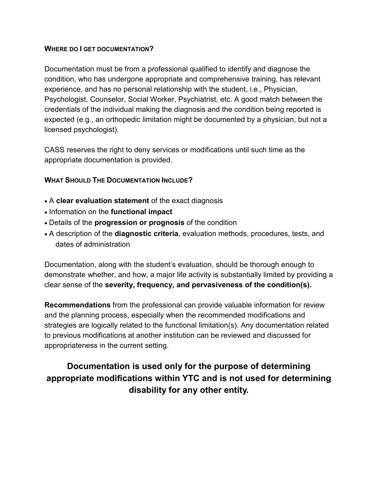#### **WHERE DO I GET DOCUMENTATION?**

Documentation must be from a professional qualified to identify and diagnose the condition, who has undergone appropriate and comprehensive training, has relevant experience, and has no personal relationship with the student, i.e., Physician, Psychologist, Counselor, Social Worker, Psychiatrist, etc. A good match between the credentials of the individual making the diagnosis and the condition being reported is expected (e.g., an orthopedic limitation might be documented by a physician, but not a licensed psychologist).

CASS reserves the right to deny services or modifications until such time as the appropriate documentation is provided.

#### **WHAT SHOULD THE DOCUMENTATION INCLUDE?**

- A **clear evaluation statement** of the exact diagnosis
- Information on the **functional impact**
- Details of the **progression or prognosis** of the condition
- A description of the **diagnostic criteria**, evaluation methods, procedures, tests, and dates of administration

Documentation, along with the student's evaluation, should be thorough enough to demonstrate whether, and how, a major life activity is substantially limited by providing a clear sense of the **severity, frequency, and pervasiveness of the condition(s).** 

**Recommendations** from the professional can provide valuable information for review and the planning process, especially when the recommended modifications and strategies are logically related to the functional limitation(s). Any documentation related to previous modifications at another institution can be reviewed and discussed for appropriateness in the current setting.

# **Documentation is used only for the purpose of determining appropriate modifications within YTC and is not used for determining disability for any other entity.**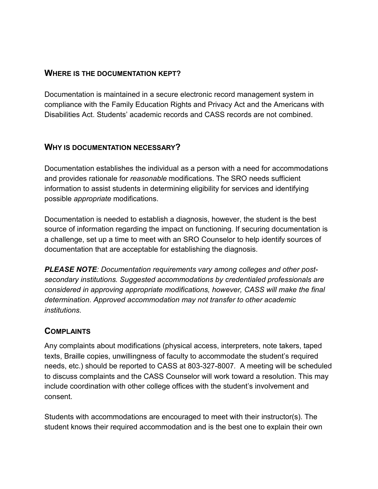#### **WHERE IS THE DOCUMENTATION KEPT?**

Documentation is maintained in a secure electronic record management system in compliance with the Family Education Rights and Privacy Act and the Americans with Disabilities Act. Students' academic records and CASS records are not combined.

#### **WHY IS DOCUMENTATION NECESSARY?**

Documentation establishes the individual as a person with a need for accommodations and provides rationale for *reasonable* modifications. The SRO needs sufficient information to assist students in determining eligibility for services and identifying possible *appropriate* modifications.

Documentation is needed to establish a diagnosis, however, the student is the best source of information regarding the impact on functioning. If securing documentation is a challenge, set up a time to meet with an SRO Counselor to help identify sources of documentation that are acceptable for establishing the diagnosis.

*PLEASE NOTE: Documentation requirements vary among colleges and other postsecondary institutions. Suggested accommodations by credentialed professionals are considered in approving appropriate modifications, however, CASS will make the final determination. Approved accommodation may not transfer to other academic institutions.*

#### **COMPLAINTS**

Any complaints about modifications (physical access, interpreters, note takers, taped texts, Braille copies, unwillingness of faculty to accommodate the student's required needs, etc.) should be reported to CASS at 803-327-8007*.* A meeting will be scheduled to discuss complaints and the CASS Counselor will work toward a resolution. This may include coordination with other college offices with the student's involvement and consent.

Students with accommodations are encouraged to meet with their instructor(s). The student knows their required accommodation and is the best one to explain their own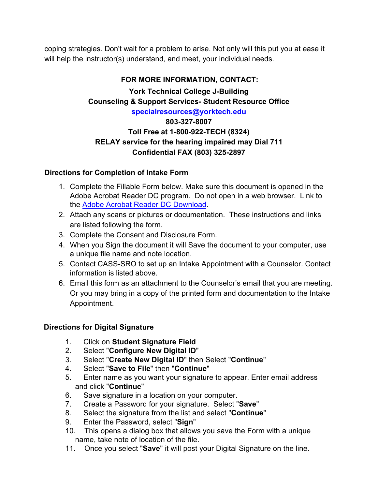coping strategies. Don't wait for a problem to arise. Not only will this put you at ease it will help the instructor(s) understand, and meet, your individual needs.

#### **FOR MORE INFORMATION, CONTACT:**

**York Technical College J-Building Counseling & Support Services- Student Resource Office specialresources@yorktech.edu** 

#### **803-327-8007 Toll Free at 1-800-922-TECH (8324) RELAY service for the hearing impaired may Dial 711 Confidential FAX (803) 325-2897**

#### **Directions for Completion of Intake Form**

- 1. Complete the Fillable Form below. Make sure this document is opened in the Adobe Acrobat Reader DC program. Do not open in a web browser. Link to the [Adobe Acrobat Reader DC Download](https://get.adobe.com/reader/).
- 2. Attach any scans or pictures or documentation. These instructions and links are listed following the form.
- 3. Complete the Consent and Disclosure Form.
- 4. When you Sign the document it will Save the document to your computer, use a unique file name and note location.
- 5. Contact CASS-SRO to set up an Intake Appointment with a Counselor. Contact information is listed above.
- 6. Email this form as an attachment to the Counselor's email that you are meeting. Or you may bring in a copy of the printed form and documentation to the Intake Appointment.

#### **Directions for Digital Signature**

- 1. Click on **Student Signature Field**
- 2. Select "**Configure New Digital ID**"
- 3. Select "**Create New Digital ID**" then Select "**Continue**"
- 4. Select "**Save to File**" then "**Continue**"
- 5. Enter name as you want your signature to appear. Enter email address and click "**Continue**"
- 6. Save signature in a location on your computer.
- 7. Create a Password for your signature. Select "**Save**"
- 8. Select the signature from the list and select "**Continue**"
- 9. Enter the Password, select "**Sign**"
- 10. This opens a dialog box that allows you save the Form with a unique name, take note of location of the file.
- 11. Once you select "**Save**" it will post your Digital Signature on the line.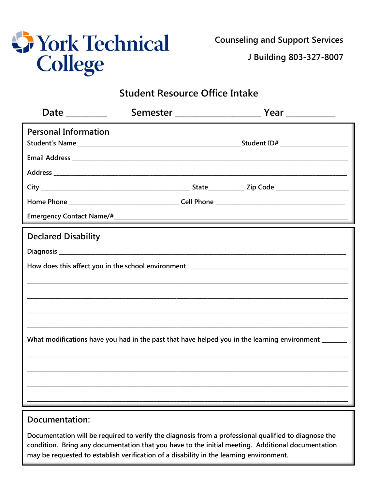

**Counseling and Support Services** 

J Building 803-327-8007

# **Student Resource Office Intake**

| <b>Personal Information</b> |  |                                                                                                     |
|-----------------------------|--|-----------------------------------------------------------------------------------------------------|
|                             |  |                                                                                                     |
|                             |  |                                                                                                     |
|                             |  |                                                                                                     |
|                             |  |                                                                                                     |
|                             |  |                                                                                                     |
| <b>Declared Disability</b>  |  |                                                                                                     |
|                             |  |                                                                                                     |
|                             |  |                                                                                                     |
|                             |  |                                                                                                     |
|                             |  |                                                                                                     |
|                             |  |                                                                                                     |
|                             |  |                                                                                                     |
|                             |  | What modifications have you had in the past that have helped you in the learning environment ______ |
|                             |  |                                                                                                     |
|                             |  |                                                                                                     |
|                             |  |                                                                                                     |
|                             |  | ,我们也不会有什么?""我们的人,我们也不会有什么?""我们的人,我们也不会有什么?""我们的人,我们也不会有什么?""我们的人,我们也不会有什么?""我们的人                    |
| Documentation:              |  |                                                                                                     |

Documentation will be required to verify the diagnosis from a professional qualified to diagnose the condition. Bring any documentation that you have to the initial meeting. Additional documentation may be requested to establish verification of a disability in the learning environment.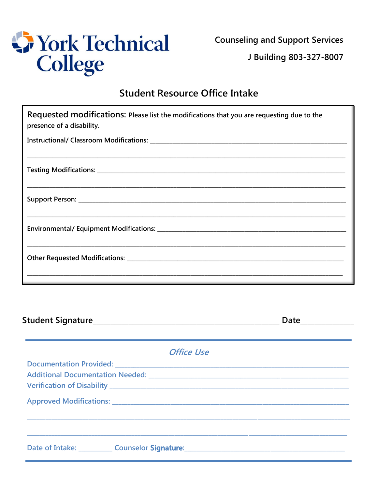

**Counseling and Support Services** 

J Building 803-327-8007

# **Student Resource Office Intake**

| Requested modifications: Please list the modifications that you are requesting due to the<br>presence of a disability. |           |
|------------------------------------------------------------------------------------------------------------------------|-----------|
|                                                                                                                        |           |
| <u> 1989 - Johann Stoff, deutscher Stoff, der Stoff, der Stoff, der Stoff, der Stoff, der Stoff, der Stoff, der S</u>  |           |
| <u> 1989 - Johann Stoff, deutscher Stoff, der Stoff, der Stoff, der Stoff, der Stoff, der Stoff, der Stoff, der S</u>  |           |
|                                                                                                                        |           |
|                                                                                                                        |           |
| the contract of the contract of the contract of the contract of the contract of the contract of the contract of        |           |
|                                                                                                                        | Date Late |

| <b>Office Use</b>                                                                                                    |
|----------------------------------------------------------------------------------------------------------------------|
|                                                                                                                      |
|                                                                                                                      |
| Date of Intake: Counselor Signature: Counselor Signature: Counter of Intake: Counselor Signature: Counter of Intake: |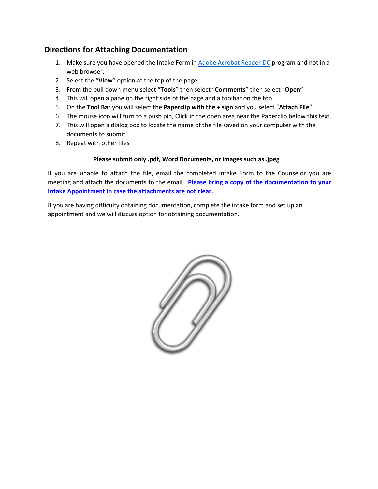#### **Directions for Attaching Documentation**

- 1. Make sure you have opened the Intake Form in [Adobe Acrobat](https://get.adobe.com/reader/) Reader DC program and not in a web browser.
- 2. Select the "**View**" option at the top of the page
- 3. From the pull down menu select "**Tools**" then select "**Comments**" then select "**Open**"
- 4. This will open a pane on the right side of the page and a toolbar on the top
- 5. On the **Tool Bar** you will select the **Paperclip with the + sign** and you select "**Attach File**"
- 6. The mouse icon will turn to a push pin, Click in the open area near the Paperclip below this text.
- 7. This will open a dialog box to locate the name of the file saved on your computer with the documents to submit.
- 8. Repeat with other files

#### **Please submit only .pdf, Word Documents, or images such as .jpeg**

If you are unable to attach the file, email the completed Intake Form to the Counselor you are meeting and attach the documents to the email. **Please bring a copy of the documentation to your Intake Appointment in case the attachments are not clear.** 

If you are having difficulty obtaining documentation, complete the intake form and set up an appointment and we will discuss option for obtaining documentation.